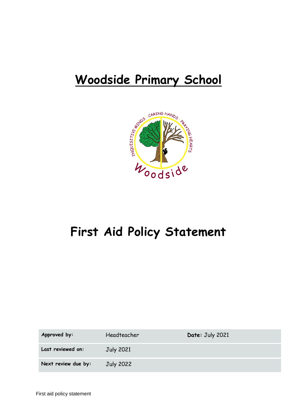# **Woodside Primary School**



## **First Aid Policy Statement**

| Approved by:        | Headteacher | Date: July 2021 |
|---------------------|-------------|-----------------|
| Last reviewed on:   | July 2021   |                 |
| Next review due by: | July 2022   |                 |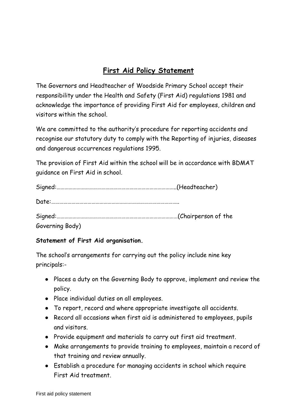## **First Aid Policy Statement**

The Governors and Headteacher of Woodside Primary School accept their responsibility under the Health and Safety (First Aid) regulations 1981 and acknowledge the importance of providing First Aid for employees, children and visitors within the school.

We are committed to the authority's procedure for reporting accidents and recognise our statutory duty to comply with the Reporting of injuries, diseases and dangerous occurrences regulations 1995.

The provision of First Aid within the school will be in accordance with BDMAT guidance on First Aid in school.

| Governing Body) |  |
|-----------------|--|

## **Statement of First Aid organisation.**

The school's arrangements for carrying out the policy include nine key principals:-

- Places a duty on the Governing Body to approve, implement and review the policy.
- Place individual duties on all employees.
- To report, record and where appropriate investigate all accidents.
- Record all occasions when first aid is administered to employees, pupils and visitors.
- Provide equipment and materials to carry out first aid treatment.
- Make arrangements to provide training to employees, maintain a record of that training and review annually.
- Establish a procedure for managing accidents in school which require First Aid treatment.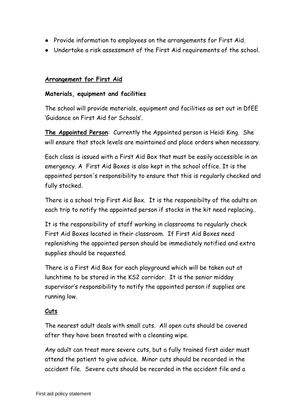- Provide information to employees on the arrangements for First Aid.
- Undertake a risk assessment of the First Aid requirements of the school.

## **Arrangement for First Aid**

#### **Materials, equipment and facilities**

The school will provide materials, equipment and facilities as set out in DfEE 'Guidance on First Aid for Schools'.

**The Appointed Person**: Currently the Appointed person is Heidi King. She will ensure that stock levels are maintained and place orders when necessary.

Each class is issued with a First Aid Box that must be easily accessible in an emergency. A First Aid Boxes is also kept in the school office. It is the appointed person's responsibility to ensure that this is regularly checked and fully stocked.

There is a school trip First Aid Box. It is the responsibilty of the adults on each trip to notify the appointed person if stocks in the kit need replacing..

It is the responsibility of staff working in classrooms to regularly check First Aid Boxes located in their classroom. If First Aid Boxes need replenishing the appointed person should be immediately notified and extra supplies should be requested.

There is a First Aid Box for each playground which will be taken out at lunchtime to be stored in the KS2 corridor. It is the senior midday supervisor's responsibility to notify the appointed person if supplies are running low.

## **Cuts**

The nearest adult deals with small cuts. All open cuts should be covered after they have been treated with a cleansing wipe.

Any adult can treat more severe cuts, but a fully trained first aider must attend the patient to give advice. Minor cuts should be recorded in the accident file. Severe cuts should be recorded in the accident file and a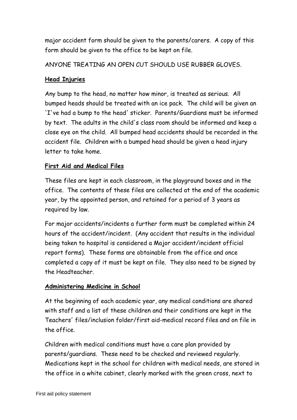major accident form should be given to the parents/carers. A copy of this form should be given to the office to be kept on file.

ANYONE TREATING AN OPEN CUT SHOULD USE RUBBER GLOVES.

## **Head Injuries**

Any bump to the head, no matter how minor, is treated as serious. All bumped heads should be treated with an ice pack. The child will be given an 'I've had a bump to the head' sticker. Parents/Guardians must be informed by text. The adults in the child's class room should be informed and keep a close eye on the child. All bumped head accidents should be recorded in the accident file. Children with a bumped head should be given a head injury letter to take home.

## **First Aid and Medical Files**

These files are kept in each classroom, in the playground boxes and in the office. The contents of these files are collected at the end of the academic year, by the appointed person, and retained for a period of 3 years as required by law.

For major accidents/incidents a further form must be completed within 24 hours of the accident/incident. (Any accident that results in the individual being taken to hospital is considered a Major accident/incident official report forms). These forms are obtainable from the office and once completed a copy of it must be kept on file. They also need to be signed by the Headteacher.

## **Administering Medicine in School**

At the beginning of each academic year, any medical conditions are shared with staff and a list of these children and their conditions are kept in the Teachers' files/inclusion folder/first aid-medical record files and on file in the office.

Children with medical conditions must have a care plan provided by parents/guardians. These need to be checked and reviewed regularly. Medications kept in the school for children with medical needs, are stored in the office in a white cabinet, clearly marked with the green cross, next to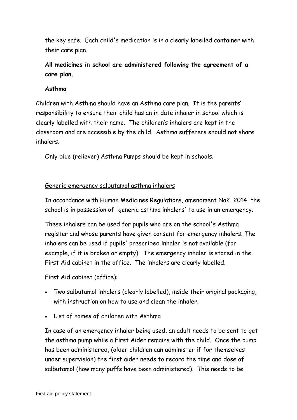the key safe. Each child's medication is in a clearly labelled container with their care plan.

**All medicines in school are administered following the agreement of a care plan.**

## **Asthma**

Children with Asthma should have an Asthma care plan. It is the parents' responsibility to ensure their child has an in date inhaler in school which is clearly labelled with their name. The children's inhalers are kept in the classroom and are accessible by the child. Asthma sufferers should not share inhalers.

Only blue (reliever) Asthma Pumps should be kept in schools.

## Generic emergency salbutamol asthma inhalers

In accordance with Human Medicines Regulations, amendment No2, 2014, the school is in possession of 'generic asthma inhalers' to use in an emergency.

These inhalers can be used for pupils who are on the school's Asthma register and whose parents have given consent for emergency inhalers. The inhalers can be used if pupils' prescribed inhaler is not available (for example, if it is broken or empty). The emergency inhaler is stored in the First Aid cabinet in the office. The inhalers are clearly labelled.

First Aid cabinet (office):

- Two salbutamol inhalers (clearly labelled), inside their original packaging, with instruction on how to use and clean the inhaler.
- List of names of children with Asthma

In case of an emergency inhaler being used, an adult needs to be sent to get the asthma pump while a First Aider remains with the child. Once the pump has been administered, (older children can administer if for themselves under supervision) the first aider needs to record the time and dose of salbutamol (how many puffs have been administered). This needs to be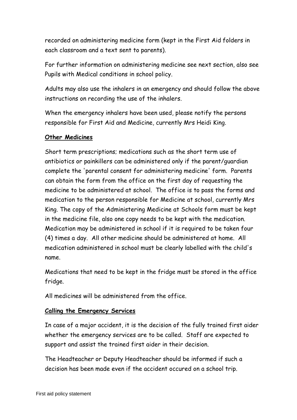recorded on administering medicine form (kept in the First Aid folders in each classroom and a text sent to parents).

For further information on administering medicine see next section, also see Pupils with Medical conditions in school policy.

Adults may also use the inhalers in an emergency and should follow the above instructions on recording the use of the inhalers.

When the emergency inhalers have been used, please notify the persons responsible for First Aid and Medicine, currently Mrs Heidi King.

## **Other Medicines**

Short term prescriptions; medications such as the short term use of antibiotics or painkillers can be administered only if the parent/guardian complete the 'parental consent for administering medicine' form. Parents can obtain the form from the office on the first day of requesting the medicine to be administered at school. The office is to pass the forms and medication to the person responsible for Medicine at school, currently Mrs King. The copy of the Administering Medicine at Schools form must be kept in the medicine file, also one copy needs to be kept with the medication. Medication may be administered in school if it is required to be taken four (4) times a day. All other medicine should be administered at home. All medication administered in school must be clearly labelled with the child's name.

Medications that need to be kept in the fridge must be stored in the office fridge.

All medicines will be administered from the office.

#### **Calling the Emergency Services**

In case of a major accident, it is the decision of the fully trained first aider whether the emergency services are to be called. Staff are expected to support and assist the trained first aider in their decision.

The Headteacher or Deputy Headteacher should be informed if such a decision has been made even if the accident occured on a school trip.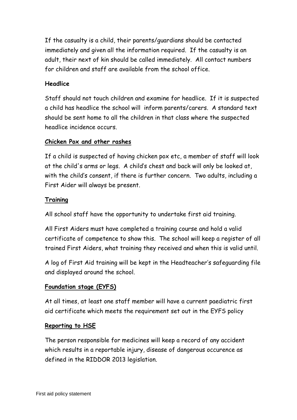If the casualty is a child, their parents/guardians should be contacted immediately and given all the information required. If the casualty is an adult, their next of kin should be called immediately. All contact numbers for children and staff are available from the school office.

## **Headlice**

Staff should not touch children and examine for headlice. If it is suspected a child has headlice the school will inform parents/carers. A standard text should be sent home to all the children in that class where the suspected headlice incidence occurs.

## **Chicken Pox and other rashes**

If a child is suspected of having chicken pox etc, a member of staff will look at the child's arms or legs. A child's chest and back will only be looked at, with the child's consent, if there is further concern. Two adults, including a First Aider will always be present.

## **Training**

All school staff have the opportunity to undertake first aid training.

All First Aiders must have completed a training course and hold a valid certificate of competence to show this. The school will keep a register of all trained First Aiders, what training they received and when this is valid until.

A log of First Aid training will be kept in the Headteacher's safeguarding file and displayed around the school.

## **Foundation stage (EYFS)**

At all times, at least one staff member will have a current paediatric first aid certificate which meets the requirement set out in the EYFS policy

## **Reporting to HSE**

The person responsible for medicines will keep a record of any accident which results in a reportable injury, disease of dangerous occurence as defined in the RIDDOR 2013 legislation.